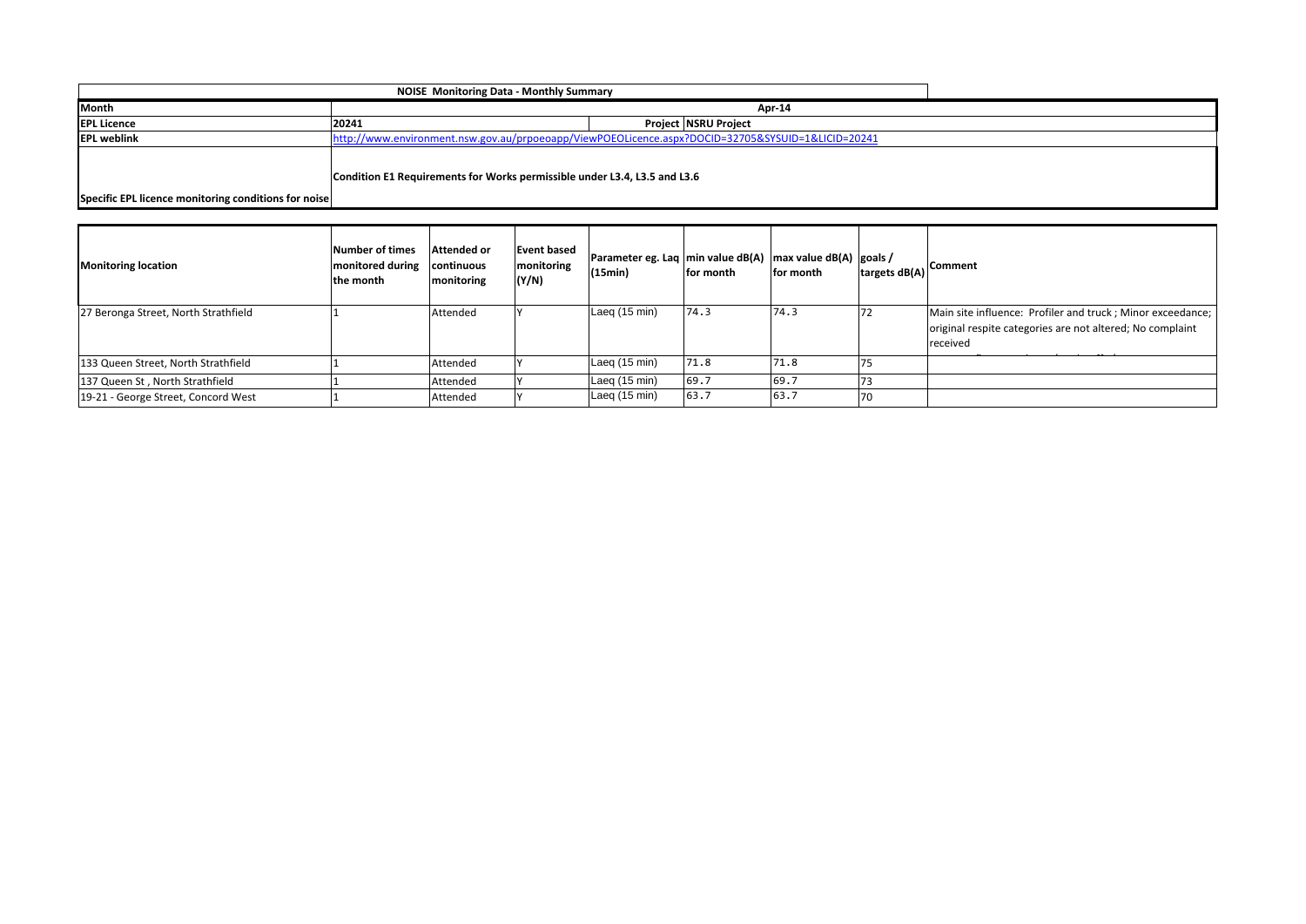| Month                                                |                                                                                                   |                             |  |  |  |  |  |
|------------------------------------------------------|---------------------------------------------------------------------------------------------------|-----------------------------|--|--|--|--|--|
| <b>EPL Licence</b>                                   | 20241                                                                                             | <b>Project NSRU Project</b> |  |  |  |  |  |
| <b>EPL weblink</b>                                   | http://www.environment.nsw.gov.au/prpoeoapp/ViewPOEOLicence.aspx?DOCID=32705&SYSUID=1&LICID=20241 |                             |  |  |  |  |  |
| Specific EPL licence monitoring conditions for noise | Condition E1 Requirements for Works permissible under L3.4, L3.5 and L3.6                         |                             |  |  |  |  |  |

| <b>Monitoring location</b>           | Number of times<br>monitored during<br>the month | Attended or<br>continuous<br>monitoring | <b>Event based</b><br>monitoring<br>(Y/N) | Parameter eg. Laq min value dB(A) max value dB(A) goals /<br>(15min) | for month | for month |    | Itargets dB(A) Comment                                                                                                              |
|--------------------------------------|--------------------------------------------------|-----------------------------------------|-------------------------------------------|----------------------------------------------------------------------|-----------|-----------|----|-------------------------------------------------------------------------------------------------------------------------------------|
| 27 Beronga Street, North Strathfield |                                                  | Attended                                |                                           | Laeg (15 min)                                                        | 74.3      | 74.3      | 72 | Main site influence: Profiler and truck; Minor exceedance;<br>original respite categories are not altered; No complaint<br>received |
| 133 Queen Street, North Strathfield  |                                                  | Attended                                |                                           | Laeg (15 min)                                                        | 71.8      | 71.8      |    |                                                                                                                                     |
| 137 Queen St, North Strathfield      |                                                  | Attended                                |                                           | Laeg (15 min)                                                        | 69.7      | 69.7      |    |                                                                                                                                     |
| 19-21 - George Street, Concord West  |                                                  | Attended                                |                                           | Laeg $(15 \text{ min})$                                              | 63.7      | 63.7      | 70 |                                                                                                                                     |